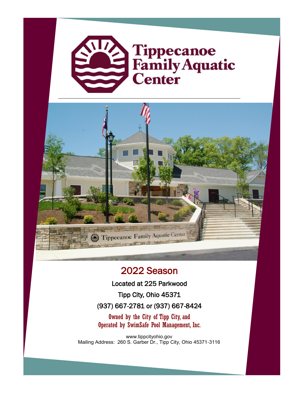



## 2022 Season

Located at 225 Parkwood

Tipp City, Ohio 45371

(937) 667-2781 or (937) 667-8424

Owned by the City of Tipp City, and Operated by SwimSafe Pool Management, Inc.

www.tippcityohio.gov Mailing Address: 260 S. Garber Dr., Tipp City, Ohio 45371-3116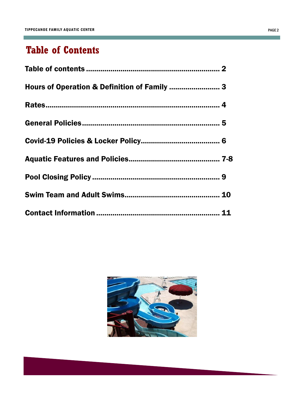the control of the control of the control of

# **Table of Contents**



m.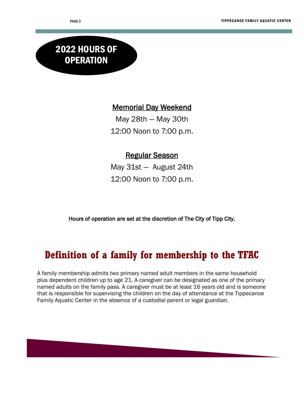# 2022 HOURS OF **OPERATION**

#### Memorial Day Weekend

May 28th — May 30th 12:00 Noon to 7:00 p.m.

#### Regular Season

May 31st — August 24th 12:00 Noon to 7:00 p.m.

Hours of operation are set at the discretion of The City of Tipp City.

## **Definition of a family for membership to the TFAC**

A family membership admits two primary named adult members in the same household plus dependent children up to age 21. A caregiver can be designated as one of the primary named adults on the family pass. A caregiver must be at least 16 years old and is someone that is responsible for supervising the children on the day of attendance at the Tippecanoe Family Aquatic Center in the absence of a custodial parent or legal guardian.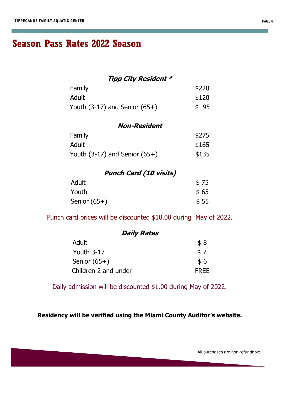## **Season Pass Rates 2022 Season**

#### **Tipp City Resident \***

| Family                            | \$220 |
|-----------------------------------|-------|
| Adult                             | \$120 |
| Youth $(3-17)$ and Senior $(65+)$ | \$95  |

| <b>Non-Resident</b>               |       |  |
|-----------------------------------|-------|--|
| Family                            | \$275 |  |
| Adult                             | \$165 |  |
| Youth $(3-17)$ and Senior $(65+)$ | \$135 |  |

#### **Punch Card (10 visits)**

| Adult          | \$75 |
|----------------|------|
| Youth          | \$65 |
| Senior $(65+)$ | \$55 |

Punch card prices will be discounted \$10.00 during May of 2022.

#### **Daily Rates**

| <b>Adult</b>         | \$8         |
|----------------------|-------------|
| Youth $3-17$         | \$7         |
| Senior $(65+)$       | \$6         |
| Children 2 and under | <b>FREE</b> |

Daily admission will be discounted \$1.00 during May of 2022.

**Residency will be verified using the Miami County Auditor's website.**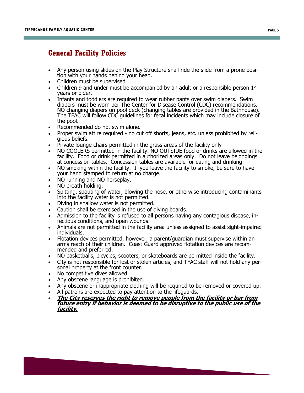#### **General Facility Policies**

- Any person using slides on the Play Structure shall ride the slide from a prone position with your hands behind your head.
- Children must be supervised
- Children 9 and under must be accompanied by an adult or a responsible person 14 years or older.
- Infants and toddlers are required to wear rubber pants over swim diapers. Swim diapers must be worn per The Center for Disease Control (CDC) recommendations. NO changing diapers on pool deck (changing tables are provided in the Bathhouse). The TFAC will follow CDC guidelines for fecal incidents which may include closure of the pool.
- Recommended do not swim alone.
- Proper swim attire required no cut off shorts, jeans, etc. unless prohibited by religious beliefs.
- Private lounge chairs permitted in the grass areas of the facility only
- NO COOLERS permitted in the facility. NO OUTSIDE food or drinks are allowed in the facility. Food or drink permitted in authorized areas only. Do not leave belongings at concession tables. Concession tables are available for eating and drinking.
- NO smoking within the facility. If you leave the facility to smoke, be sure to have your hand stamped to return at no charge.
- NO running and NO horseplay.
- NO breath holding.
- Spitting, spouting of water, blowing the nose, or otherwise introducing contaminants into the facility water is not permitted.
- Diving in shallow water is not permitted.
- Caution shall be exercised in the use of diving boards.
- Admission to the facility is refused to all persons having any contagious disease, infectious conditions, and open wounds.
- Animals are not permitted in the facility area unless assigned to assist sight-impaired individuals.
- Flotation devices permitted, however, a parent/guardian must supervise within an arms reach of their children. Coast Guard approved flotation devices are recommended and preferred.
- NO basketballs, bicycles, scooters, or skateboards are permitted inside the facility.
- City is not responsible for lost or stolen articles, and TFAC staff will not hold any personal property at the front counter.
- No competitive dives allowed.
- Any obscene language is prohibited.
- Any obscene or inappropriate clothing will be required to be removed or covered up.
- All patrons are expected to pay attention to the lifeguards.
- **The City reserves the right to remove people from the facility or bar from future entry if behavior is deemed to be disruptive to the public use of the facility.**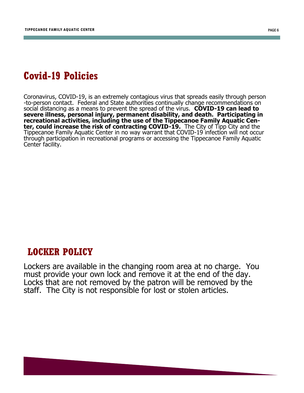## **Covid-19 Policies**

Coronavirus, COVID-19, is an extremely contagious virus that spreads easily through person -to-person contact. Federal and State authorities continually change recommendations on social distancing as a means to prevent the spread of the virus. **COVID-19 can lead to severe illness, personal injury, permanent disability, and death. Participating in recreational activities, including the use of the Tippecanoe Family Aquatic Center, could increase the risk of contracting COVID-19.** The City of Tipp City and the Tippecanoe Family Aquatic Center in no way warrant that COVID-19 infection will not occur through participation in recreational programs or accessing the Tippecanoe Family Aquatic Center facility.

### **LOCKER POLICY**

Lockers are available in the changing room area at no charge. You must provide your own lock and remove it at the end of the day. Locks that are not removed by the patron will be removed by the staff. The City is not responsible for lost or stolen articles.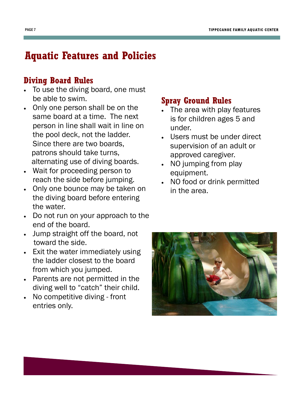# **Aquatic Features and Policies**

## **Diving Board Rules**

- To use the diving board, one must be able to swim.
- Only one person shall be on the same board at a time. The next person in line shall wait in line on the pool deck, not the ladder. Since there are two boards, patrons should take turns, alternating use of diving boards.
- Wait for proceeding person to reach the side before jumping.
- Only one bounce may be taken on the diving board before entering the water.
- Do not run on your approach to the end of the board.
- Jump straight off the board, not toward the side.
- Exit the water immediately using the ladder closest to the board from which you jumped.
- Parents are not permitted in the diving well to "catch" their child.
- No competitive diving front entries only.

## **Spray Ground Rules**

- The area with play features is for children ages 5 and under.
- Users must be under direct supervision of an adult or approved caregiver.
- NO jumping from play equipment.
- NO food or drink permitted in the area.

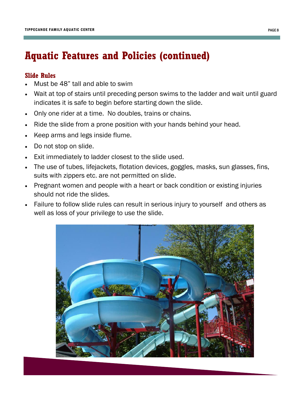## **Aquatic Features and Policies (continued)**

#### **Slide Rules**

- Must be 48" tall and able to swim
- Wait at top of stairs until preceding person swims to the ladder and wait until guard indicates it is safe to begin before starting down the slide.
- Only one rider at a time. No doubles, trains or chains.
- Ride the slide from a prone position with your hands behind your head.
- Keep arms and legs inside flume.
- Do not stop on slide.
- Exit immediately to ladder closest to the slide used.
- The use of tubes, lifejackets, flotation devices, goggles, masks, sun glasses, fins, suits with zippers etc. are not permitted on slide.
- Pregnant women and people with a heart or back condition or existing injuries should not ride the slides.
- Failure to follow slide rules can result in serious injury to yourself and others as well as loss of your privilege to use the slide.

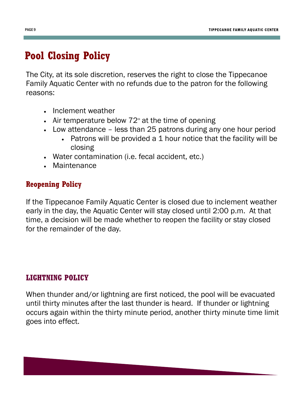# **Pool Closing Policy**

The City, at its sole discretion, reserves the right to close the Tippecanoe Family Aquatic Center with no refunds due to the patron for the following reasons:

- Inclement weather
- $\bullet$  Air temperature below 72 $\degree$  at the time of opening
- Low attendance less than 25 patrons during any one hour period
	- Patrons will be provided a 1 hour notice that the facility will be closing
- Water contamination (i.e. fecal accident, etc.)
- Maintenance

## **Reopening Policy**

If the Tippecanoe Family Aquatic Center is closed due to inclement weather early in the day, the Aquatic Center will stay closed until 2:00 p.m. At that time, a decision will be made whether to reopen the facility or stay closed for the remainder of the day.

### **LIGHTNING POLICY**

When thunder and/or lightning are first noticed, the pool will be evacuated until thirty minutes after the last thunder is heard. If thunder or lightning occurs again within the thirty minute period, another thirty minute time limit goes into effect.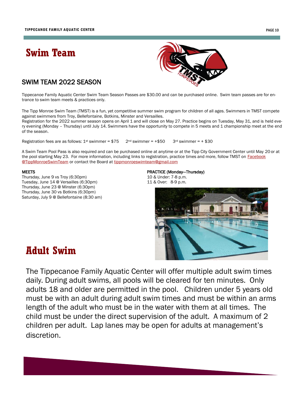## **Swim Team**



#### SWIM TEAM 2022 SEASON

Tippecanoe Family Aquatic Center Swim Team Season Passes are \$30.00 and can be purchased online. Swim team passes are for entrance to swim team meets & practices only.

The Tipp Monroe Swim Team (TMST) is a fun, yet competitive summer swim program for children of all ages. Swimmers in TMST compete against swimmers from Troy, Bellefontaine, Botkins, Minster and Versailles.

Registration for the 2022 summer season opens on April 1 and will close on May 27. Practice begins on Tuesday, May 31, and is held every evening (Monday – Thursday) until July 14. Swimmers have the opportunity to compete in 5 meets and 1 championship meet at the end of the season.

Registration fees are as follows:  $1^{st}$  swimmer = \$75 2nd swimmer = +\$50 3rd swimmer = + \$30

A Swim Team Pool Pass is also required and can be purchased online at anytime or at the Tipp City Government Center until May 20 or at the pool starting May 23. For more information, including links to registration, practice times and more, follow TMST on Facebook [@TippMonroeSwimTeam](https://www.facebook.com/TippMonroeSwimTeam) or contact the Board at [tippmonroeswimteam@gmail.com](mailto:tippmonroeswimteam@gmail.com)

Thursday, June 9 vs Troy (6:30pm) 10 & Under: 7-8 p.m. Tuesday, June 14 @ Versailles (6:30pm) 11 & Over: 8-9 p.m. Thursday, June 23 @ Minster (6:30pm) Thursday, June 30 vs Botkins (6:30pm) Saturday, July 9 @ Bellefontaine (8:30 am)

# MEETS **PRACTICE (Monday—Thursday)**



## **Adult Swim**

The Tippecanoe Family Aquatic Center will offer multiple adult swim times daily. During adult swims, all pools will be cleared for ten minutes. Only adults 18 and older are permitted in the pool. Children under 5 years old must be with an adult during adult swim times and must be within an arms length of the adult who must be in the water with them at all times. The child must be under the direct supervision of the adult. A maximum of 2 children per adult. Lap lanes may be open for adults at management's discretion.